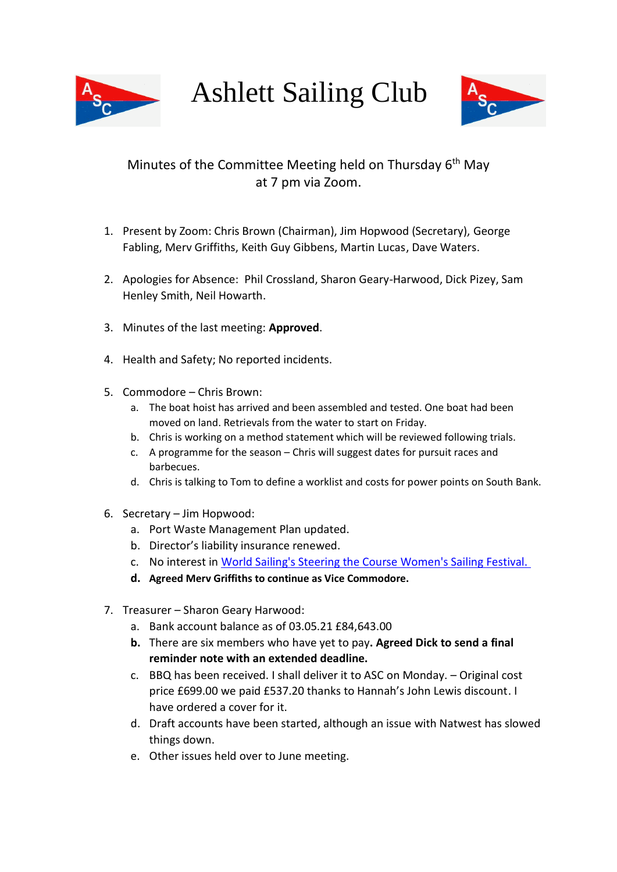

Ashlett Sailing Club



## Minutes of the Committee Meeting held on Thursday 6<sup>th</sup> May at 7 pm via Zoom.

- 1. Present by Zoom: Chris Brown (Chairman), Jim Hopwood (Secretary), George Fabling, Merv Griffiths, Keith Guy Gibbens, Martin Lucas, Dave Waters.
- 2. Apologies for Absence: Phil Crossland, Sharon Geary-Harwood, Dick Pizey, Sam Henley Smith, Neil Howarth.
- 3. Minutes of the last meeting: **Approved**.
- 4. Health and Safety; No reported incidents.
- 5. Commodore Chris Brown:
	- a. The boat hoist has arrived and been assembled and tested. One boat had been moved on land. Retrievals from the water to start on Friday.
	- b. Chris is working on a method statement which will be reviewed following trials.
	- c. A programme for the season Chris will suggest dates for pursuit races and barbecues.
	- d. Chris is talking to Tom to define a worklist and costs for power points on South Bank.
- 6. Secretary Jim Hopwood:
	- a. Port Waste Management Plan updated.
	- b. Director's liability insurance renewed.
	- c. No interest in [World Sailing's Steering the Course Women's Sailing Festival.](https://eur01.safelinks.protection.outlook.com/?url=https%3A%2F%2Fwww.sailing.org%2Fnews%2F90331.php%23.YHis87RKhN0&data=04%7C01%7Cdiversity.south%40rya.org.uk%7C182457d4b31f4373e6b108d90056e43d%7Ce7fee957e6594f9a9ae0fe61160217f7%7C1%7C0%7C637541195456819126%7CUnknown%7CTWFpbGZsb3d8eyJWIjoiMC4wLjAwMDAiLCJQIjoiV2luMzIiLCJBTiI6Ik1haWwiLCJXVCI6Mn0%3D%7C1000&sdata=QOqlhjstwRi78mZhaZyaFZYyy4PkuJUWK%2BGHLjJiIb8%3D&reserved=0)
	- **d. Agreed Merv Griffiths to continue as Vice Commodore.**
- 7. Treasurer Sharon Geary Harwood:
	- a. Bank account balance as of 03.05.21 £84,643.00
	- **b.** There are six members who have yet to pay**. Agreed Dick to send a final reminder note with an extended deadline.**
	- c. BBQ has been received. I shall deliver it to ASC on Monday. Original cost price £699.00 we paid £537.20 thanks to Hannah's John Lewis discount. I have ordered a cover for it.
	- d. Draft accounts have been started, although an issue with Natwest has slowed things down.
	- e. Other issues held over to June meeting.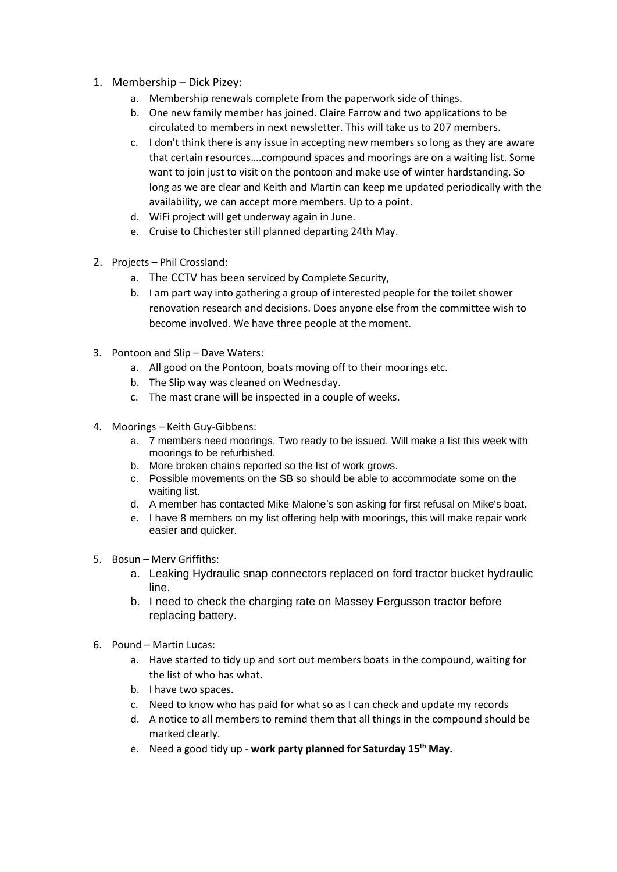- 1. Membership Dick Pizey:
	- a. Membership renewals complete from the paperwork side of things.
	- b. One new family member has joined. Claire Farrow and two applications to be circulated to members in next newsletter. This will take us to 207 members.
	- c. I don't think there is any issue in accepting new members so long as they are aware that certain resources….compound spaces and moorings are on a waiting list. Some want to join just to visit on the pontoon and make use of winter hardstanding. So long as we are clear and Keith and Martin can keep me updated periodically with the availability, we can accept more members. Up to a point.
	- d. WiFi project will get underway again in June.
	- e. Cruise to Chichester still planned departing 24th May.
- 2. Projects Phil Crossland:
	- a. The CCTV has been serviced by Complete Security,
	- b. I am part way into gathering a group of interested people for the toilet shower renovation research and decisions. Does anyone else from the committee wish to become involved. We have three people at the moment.
- 3. Pontoon and Slip Dave Waters:
	- a. All good on the Pontoon, boats moving off to their moorings etc.
	- b. The Slip way was cleaned on Wednesday.
	- c. The mast crane will be inspected in a couple of weeks.
- 4. Moorings Keith Guy-Gibbens:
	- a. 7 members need moorings. Two ready to be issued. Will make a list this week with moorings to be refurbished.
	- b. More broken chains reported so the list of work grows.
	- c. Possible movements on the SB so should be able to accommodate some on the waiting list.
	- d. A member has contacted Mike Malone's son asking for first refusal on Mike's boat.
	- e. I have 8 members on my list offering help with moorings, this will make repair work easier and quicker.
- 5. Bosun Merv Griffiths:
	- a. Leaking Hydraulic snap connectors replaced on ford tractor bucket hydraulic line.
	- b. I need to check the charging rate on Massey Fergusson tractor before replacing battery.
- 6. Pound Martin Lucas:
	- a. Have started to tidy up and sort out members boats in the compound, waiting for the list of who has what.
	- b. I have two spaces.
	- c. Need to know who has paid for what so as I can check and update my records
	- d. A notice to all members to remind them that all things in the compound should be marked clearly.
	- e. Need a good tidy up **work party planned for Saturday 15 th May.**